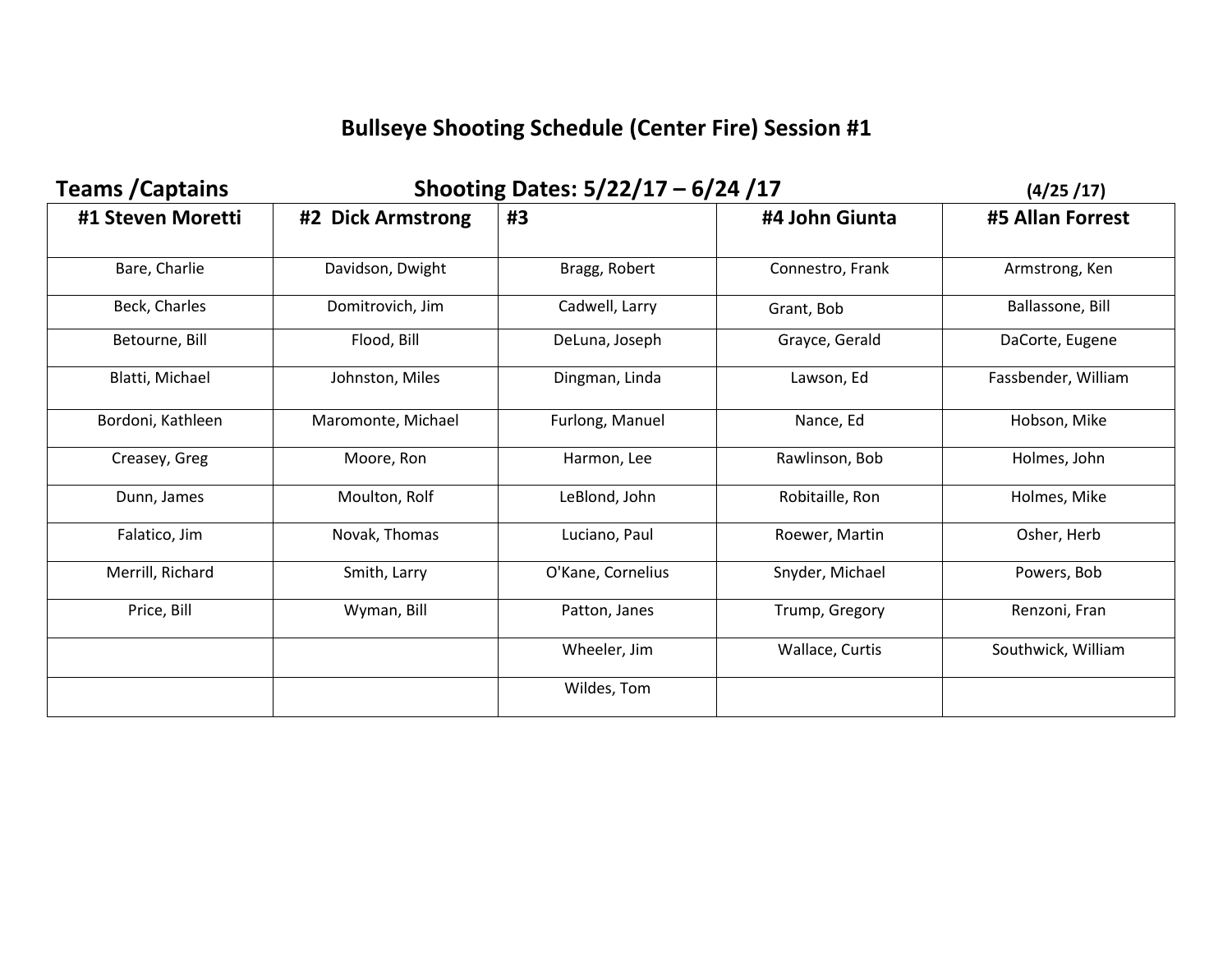## **Bullseye Shooting Schedule (Center Fire) Session #1**

| <b>Teams / Captains</b> | Shooting Dates: 5/22/17 - 6/24 /17 |                   |                  | (4/25/17)           |
|-------------------------|------------------------------------|-------------------|------------------|---------------------|
| #1 Steven Moretti       | #2 Dick Armstrong                  | #3                | #4 John Giunta   | #5 Allan Forrest    |
| Bare, Charlie           | Davidson, Dwight                   | Bragg, Robert     | Connestro, Frank | Armstrong, Ken      |
| Beck, Charles           | Domitrovich, Jim                   | Cadwell, Larry    | Grant, Bob       | Ballassone, Bill    |
| Betourne, Bill          | Flood, Bill                        | DeLuna, Joseph    | Grayce, Gerald   | DaCorte, Eugene     |
| Blatti, Michael         | Johnston, Miles                    | Dingman, Linda    | Lawson, Ed       | Fassbender, William |
| Bordoni, Kathleen       | Maromonte, Michael                 | Furlong, Manuel   | Nance, Ed        | Hobson, Mike        |
| Creasey, Greg           | Moore, Ron                         | Harmon, Lee       | Rawlinson, Bob   | Holmes, John        |
| Dunn, James             | Moulton, Rolf                      | LeBlond, John     | Robitaille, Ron  | Holmes, Mike        |
| Falatico, Jim           | Novak, Thomas                      | Luciano, Paul     | Roewer, Martin   | Osher, Herb         |
| Merrill, Richard        | Smith, Larry                       | O'Kane, Cornelius | Snyder, Michael  | Powers, Bob         |
| Price, Bill             | Wyman, Bill                        | Patton, Janes     | Trump, Gregory   | Renzoni, Fran       |
|                         |                                    | Wheeler, Jim      | Wallace, Curtis  | Southwick, William  |
|                         |                                    | Wildes, Tom       |                  |                     |